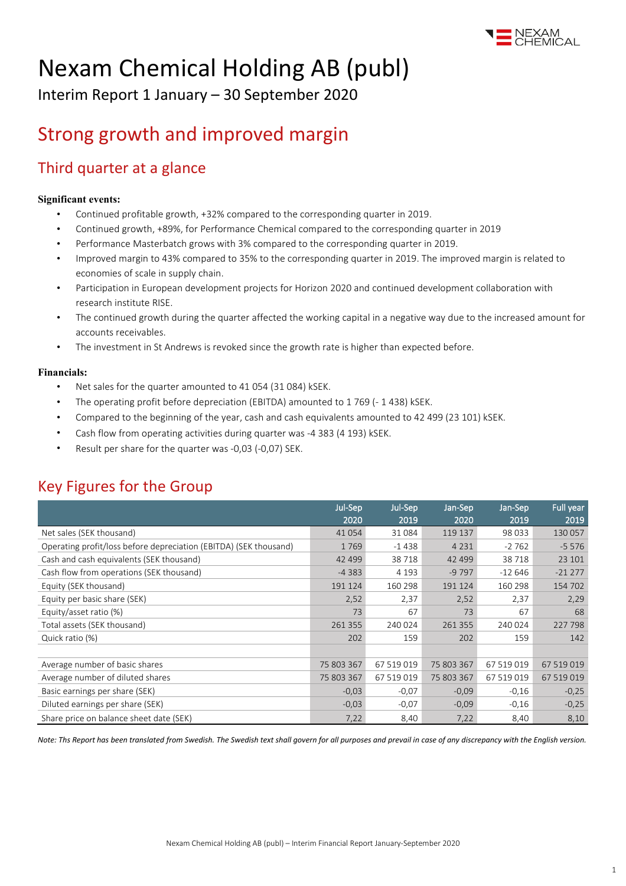

# Nexam Chemical Holding AB (publ)

Interim Report 1 January – 30 September 2020

## Strong growth and improved margin

### Third quarter at a glance

#### **Significant events:**

- Continued profitable growth, +32% compared to the corresponding quarter in 2019.
- Continued growth, +89%, for Performance Chemical compared to the corresponding quarter in 2019
- Performance Masterbatch grows with 3% compared to the corresponding quarter in 2019.
- Improved margin to 43% compared to 35% to the corresponding quarter in 2019. The improved margin is related to economies of scale in supply chain.
- Participation in European development projects for Horizon 2020 and continued development collaboration with research institute RISE.
- The continued growth during the quarter affected the working capital in a negative way due to the increased amount for accounts receivables.
- The investment in St Andrews is revoked since the growth rate is higher than expected before.

#### **Financials:**

- Net sales for the quarter amounted to 41 054 (31 084) kSEK.
- The operating profit before depreciation (EBITDA) amounted to 1 769 (- 1 438) kSEK.
- Compared to the beginning of the year, cash and cash equivalents amounted to 42 499 (23 101) kSEK.
- Cash flow from operating activities during quarter was -4 383 (4 193) kSEK.
- Result per share for the quarter was -0,03 (-0,07) SEK.

### Key Figures for the Group

|                                                                   | Jul-Sep<br>2020 | Jul-Sep<br>2019 | Jan-Sep<br>2020 | Jan-Sep<br>2019 | Full year<br>2019 |
|-------------------------------------------------------------------|-----------------|-----------------|-----------------|-----------------|-------------------|
| Net sales (SEK thousand)                                          | 41 0 54         | 31 084          | 119 137         | 98 033          | 130 057           |
|                                                                   |                 |                 |                 |                 |                   |
| Operating profit/loss before depreciation (EBITDA) (SEK thousand) | 1769            | $-1438$         | 4 2 3 1         | $-2762$         | $-5576$           |
| Cash and cash equivalents (SEK thousand)                          | 42 4 9 9        | 38718           | 42 499          | 38718           | 23 101            |
| Cash flow from operations (SEK thousand)                          | $-4383$         | 4 1 9 3         | $-9797$         | $-12646$        | $-21277$          |
| Equity (SEK thousand)                                             | 191 124         | 160 298         | 191 124         | 160 298         | 154 702           |
| Equity per basic share (SEK)                                      | 2,52            | 2,37            | 2,52            | 2,37            | 2,29              |
| Equity/asset ratio (%)                                            | 73              | 67              | 73              | 67              | 68                |
| Total assets (SEK thousand)                                       | 261 355         | 240 024         | 261 355         | 240 024         | 227 798           |
| Quick ratio (%)                                                   | 202             | 159             | 202             | 159             | 142               |
|                                                                   |                 |                 |                 |                 |                   |
| Average number of basic shares                                    | 75 803 367      | 67 519 019      | 75 803 367      | 67 519 019      | 67 519 019        |
| Average number of diluted shares                                  | 75 803 367      | 67 519 019      | 75 803 367      | 67 519 019      | 67 519 019        |
| Basic earnings per share (SEK)                                    | $-0.03$         | $-0.07$         | $-0,09$         | $-0,16$         | $-0,25$           |
| Diluted earnings per share (SEK)                                  | $-0.03$         | $-0.07$         | $-0.09$         | $-0,16$         | $-0,25$           |
| Share price on balance sheet date (SEK)                           | 7,22            | 8,40            | 7,22            | 8,40            | 8,10              |

*Note: Ths Report has been translated from Swedish. The Swedish text shall govern for all purposes and prevail in case of any discrepancy with the English version.*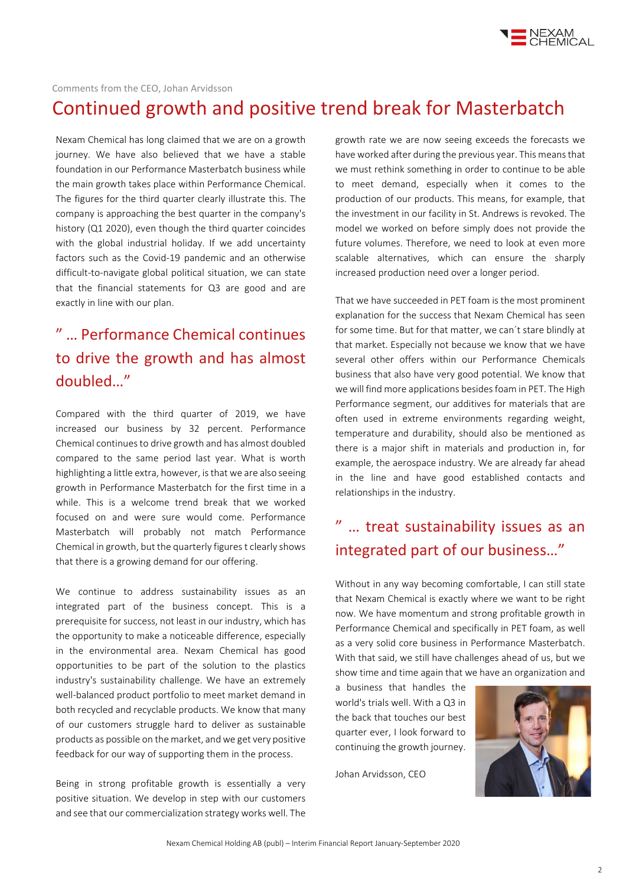

Comments from the CEO, Johan Arvidsson

### Continued growth and positive trend break for Masterbatch

Nexam Chemical has long claimed that we are on a growth journey. We have also believed that we have a stable foundation in our Performance Masterbatch business while the main growth takes place within Performance Chemical. The figures for the third quarter clearly illustrate this. The company is approaching the best quarter in the company's history (Q1 2020), even though the third quarter coincides with the global industrial holiday. If we add uncertainty factors such as the Covid-19 pandemic and an otherwise difficult-to-navigate global political situation, we can state that the financial statements for Q3 are good and are exactly in line with our plan.

## " … Performance Chemical continues to drive the growth and has almost doubled…"

Compared with the third quarter of 2019, we have increased our business by 32 percent. Performance Chemical continues to drive growth and has almost doubled compared to the same period last year. What is worth highlighting a little extra, however, is that we are also seeing growth in Performance Masterbatch for the first time in a while. This is a welcome trend break that we worked focused on and were sure would come. Performance Masterbatch will probably not match Performance Chemical in growth, but the quarterly figures t clearly shows that there is a growing demand for our offering.

We continue to address sustainability issues as an integrated part of the business concept. This is a prerequisite for success, not least in our industry, which has the opportunity to make a noticeable difference, especially in the environmental area. Nexam Chemical has good opportunities to be part of the solution to the plastics industry's sustainability challenge. We have an extremely well-balanced product portfolio to meet market demand in both recycled and recyclable products. We know that many of our customers struggle hard to deliver as sustainable products as possible on the market, and we get very positive feedback for our way of supporting them in the process.

Being in strong profitable growth is essentially a very positive situation. We develop in step with our customers and see that our commercialization strategy works well. The

growth rate we are now seeing exceeds the forecasts we have worked after during the previous year. This means that we must rethink something in order to continue to be able to meet demand, especially when it comes to the production of our products. This means, for example, that the investment in our facility in St. Andrews is revoked. The model we worked on before simply does not provide the future volumes. Therefore, we need to look at even more scalable alternatives, which can ensure the sharply increased production need over a longer period.

That we have succeeded in PET foam is the most prominent explanation for the success that Nexam Chemical has seen for some time. But for that matter, we can´t stare blindly at that market. Especially not because we know that we have several other offers within our Performance Chemicals business that also have very good potential. We know that we will find more applications besides foam in PET. The High Performance segment, our additives for materials that are often used in extreme environments regarding weight, temperature and durability, should also be mentioned as there is a major shift in materials and production in, for example, the aerospace industry. We are already far ahead in the line and have good established contacts and relationships in the industry.

## " … treat sustainability issues as an integrated part of our business…"

Without in any way becoming comfortable, I can still state that Nexam Chemical is exactly where we want to be right now. We have momentum and strong profitable growth in Performance Chemical and specifically in PET foam, as well as a very solid core business in Performance Masterbatch. With that said, we still have challenges ahead of us, but we show time and time again that we have an organization and

a business that handles the world's trials well. With a Q3 in the back that touches our best quarter ever, I look forward to continuing the growth journey.

Johan Arvidsson, CEO

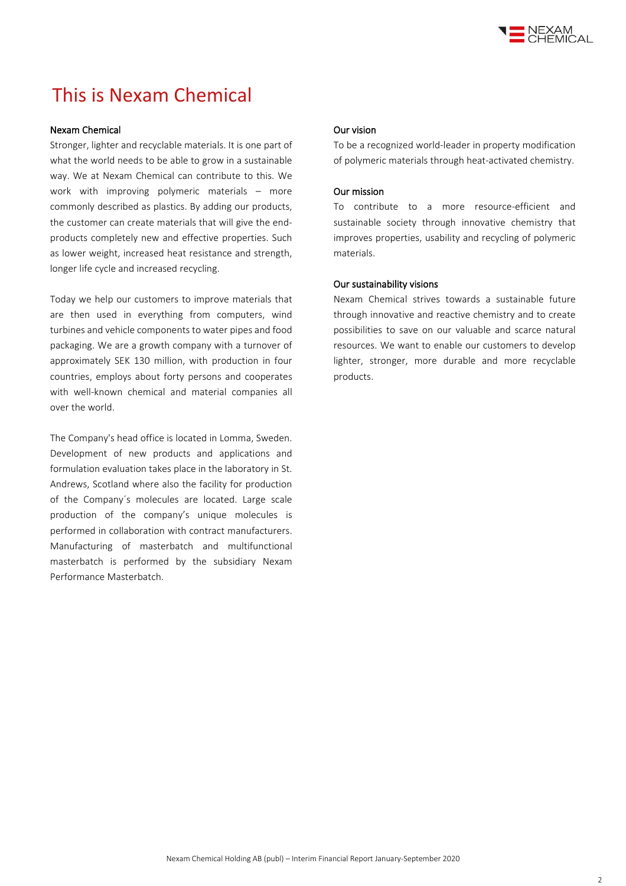

## This is Nexam Chemical

#### Nexam Chemical

Stronger, lighter and recyclable materials. It is one part of what the world needs to be able to grow in a sustainable way. We at Nexam Chemical can contribute to this. We work with improving polymeric materials – more commonly described as plastics. By adding our products, the customer can create materials that will give the endproducts completely new and effective properties. Such as lower weight, increased heat resistance and strength, longer life cycle and increased recycling.

Today we help our customers to improve materials that are then used in everything from computers, wind turbines and vehicle components to water pipes and food packaging. We are a growth company with a turnover of approximately SEK 130 million, with production in four countries, employs about forty persons and cooperates with well-known chemical and material companies all over the world.

The Company's head office is located in Lomma, Sweden. Development of new products and applications and formulation evaluation takes place in the laboratory in St. Andrews, Scotland where also the facility for production of the Company´s molecules are located. Large scale production of the company's unique molecules is performed in collaboration with contract manufacturers. Manufacturing of masterbatch and multifunctional masterbatch is performed by the subsidiary Nexam Performance Masterbatch.

#### Our vision

To be a recognized world-leader in property modification of polymeric materials through heat-activated chemistry.

#### Our mission

To contribute to a more resource-efficient and sustainable society through innovative chemistry that improves properties, usability and recycling of polymeric materials.

#### Our sustainability visions

Nexam Chemical strives towards a sustainable future through innovative and reactive chemistry and to create possibilities to save on our valuable and scarce natural resources. We want to enable our customers to develop lighter, stronger, more durable and more recyclable products.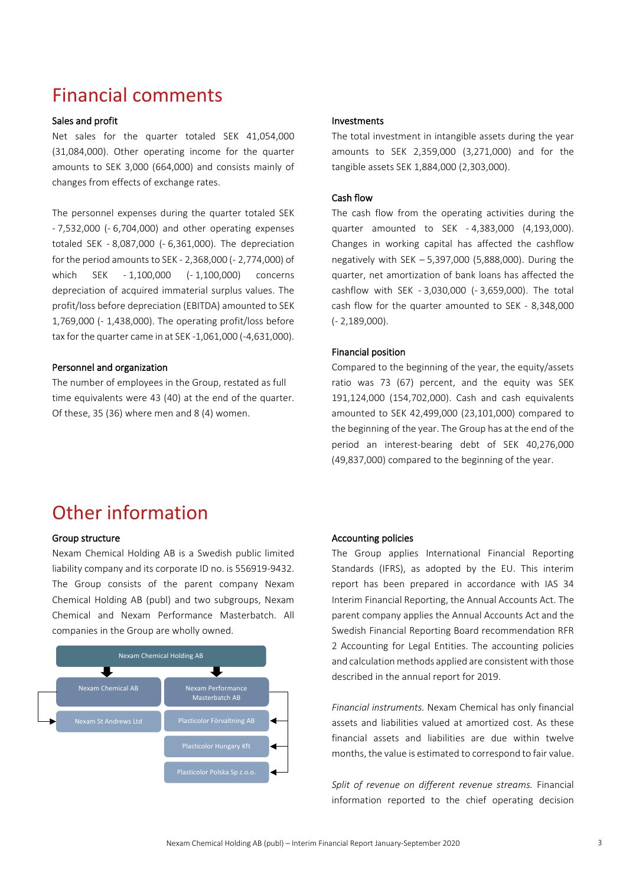## Financial comments

#### Sales and profit

Net sales for the quarter totaled SEK 41,054,000 (31,084,000). Other operating income for the quarter amounts to SEK 3,000 (664,000) and consists mainly of changes from effects of exchange rates.

The personnel expenses during the quarter totaled SEK - 7,532,000 (- 6,704,000) and other operating expenses totaled SEK - 8,087,000 (- 6,361,000). The depreciation for the period amounts to SEK - 2,368,000 (- 2,774,000) of which SEK - 1,100,000 (- 1,100,000) concerns depreciation of acquired immaterial surplus values. The profit/loss before depreciation (EBITDA) amounted to SEK 1,769,000 (- 1,438,000). The operating profit/loss before tax for the quarter came in at SEK -1,061,000 (-4,631,000).

#### Personnel and organization

The number of employees in the Group, restated as full time equivalents were 43 (40) at the end of the quarter. Of these, 35 (36) where men and 8 (4) women.

#### Investments

The total investment in intangible assets during the year amounts to SEK 2,359,000 (3,271,000) and for the tangible assets SEK 1,884,000 (2,303,000).

#### Cash flow

The cash flow from the operating activities during the quarter amounted to SEK - 4,383,000 (4,193,000). Changes in working capital has affected the cashflow negatively with SEK – 5,397,000 (5,888,000). During the quarter, net amortization of bank loans has affected the cashflow with SEK - 3,030,000 (- 3,659,000). The total cash flow for the quarter amounted to SEK - 8,348,000 (- 2,189,000).

#### Financial position

Compared to the beginning of the year, the equity/assets ratio was 73 (67) percent, and the equity was SEK 191,124,000 (154,702,000). Cash and cash equivalents amounted to SEK 42,499,000 (23,101,000) compared to the beginning of the year. The Group has at the end of the period an interest-bearing debt of SEK 40,276,000 (49,837,000) compared to the beginning of the year.

### Other information

#### Group structure

Nexam Chemical Holding AB is a Swedish public limited liability company and its corporate ID no. is 556919-9432. The Group consists of the parent company Nexam Chemical Holding AB (publ) and two subgroups, Nexam Chemical and Nexam Performance Masterbatch. All companies in the Group are wholly owned.



#### Accounting policies

The Group applies International Financial Reporting Standards (IFRS), as adopted by the EU. This interim report has been prepared in accordance with IAS 34 Interim Financial Reporting, the Annual Accounts Act. The parent company applies the Annual Accounts Act and the Swedish Financial Reporting Board recommendation RFR 2 Accounting for Legal Entities. The accounting policies and calculation methods applied are consistent with those described in the annual report for 2019.

*Financial instruments.* Nexam Chemical has only financial assets and liabilities valued at amortized cost. As these financial assets and liabilities are due within twelve months, the value is estimated to correspond to fair value.

*Split of revenue on different revenue streams.* Financial information reported to the chief operating decision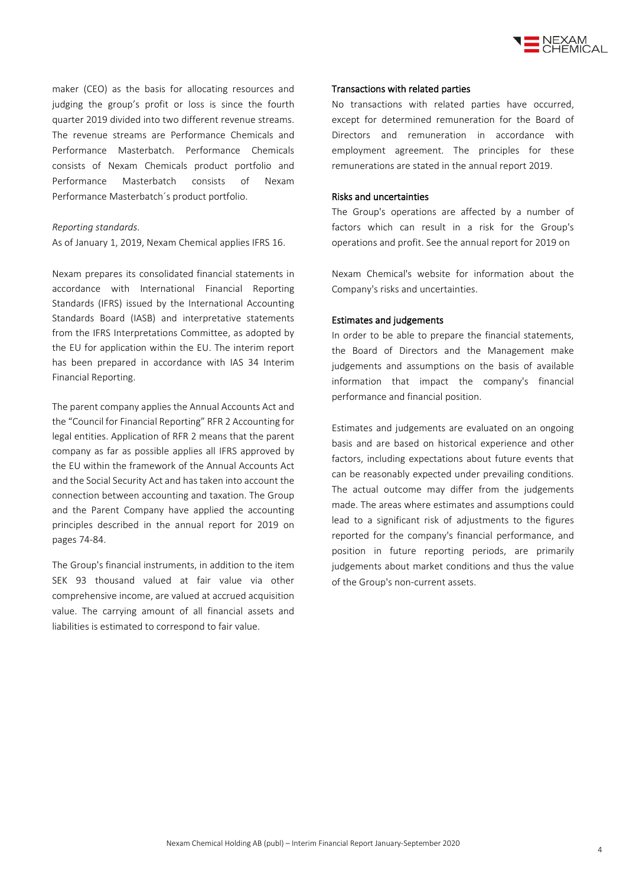

maker (CEO) as the basis for allocating resources and judging the group's profit or loss is since the fourth quarter 2019 divided into two different revenue streams. The revenue streams are Performance Chemicals and Performance Masterbatch. Performance Chemicals consists of Nexam Chemicals product portfolio and Performance Masterbatch consists of Nexam Performance Masterbatch´s product portfolio.

#### *Reporting standards.*

As of January 1, 2019, Nexam Chemical applies IFRS 16.

Nexam prepares its consolidated financial statements in accordance with International Financial Reporting Standards (IFRS) issued by the International Accounting Standards Board (IASB) and interpretative statements from the IFRS Interpretations Committee, as adopted by the EU for application within the EU. The interim report has been prepared in accordance with IAS 34 Interim Financial Reporting.

The parent company applies the Annual Accounts Act and the "Council for Financial Reporting" RFR 2 Accounting for legal entities. Application of RFR 2 means that the parent company as far as possible applies all IFRS approved by the EU within the framework of the Annual Accounts Act and the Social Security Act and has taken into account the connection between accounting and taxation. The Group and the Parent Company have applied the accounting principles described in the annual report for 2019 on pages 74-84.

The Group's financial instruments, in addition to the item SEK 93 thousand valued at fair value via other comprehensive income, are valued at accrued acquisition value. The carrying amount of all financial assets and liabilities is estimated to correspond to fair value.

#### Transactions with related parties

No transactions with related parties have occurred, except for determined remuneration for the Board of Directors and remuneration in accordance with employment agreement. The principles for these remunerations are stated in the annual report 2019.

#### Risks and uncertainties

The Group's operations are affected by a number of factors which can result in a risk for the Group's operations and profit. See the annual report for 2019 on

Nexam Chemical's website for information about the Company's risks and uncertainties.

#### Estimates and judgements

In order to be able to prepare the financial statements, the Board of Directors and the Management make judgements and assumptions on the basis of available information that impact the company's financial performance and financial position.

Estimates and judgements are evaluated on an ongoing basis and are based on historical experience and other factors, including expectations about future events that can be reasonably expected under prevailing conditions. The actual outcome may differ from the judgements made. The areas where estimates and assumptions could lead to a significant risk of adjustments to the figures reported for the company's financial performance, and position in future reporting periods, are primarily judgements about market conditions and thus the value of the Group's non-current assets.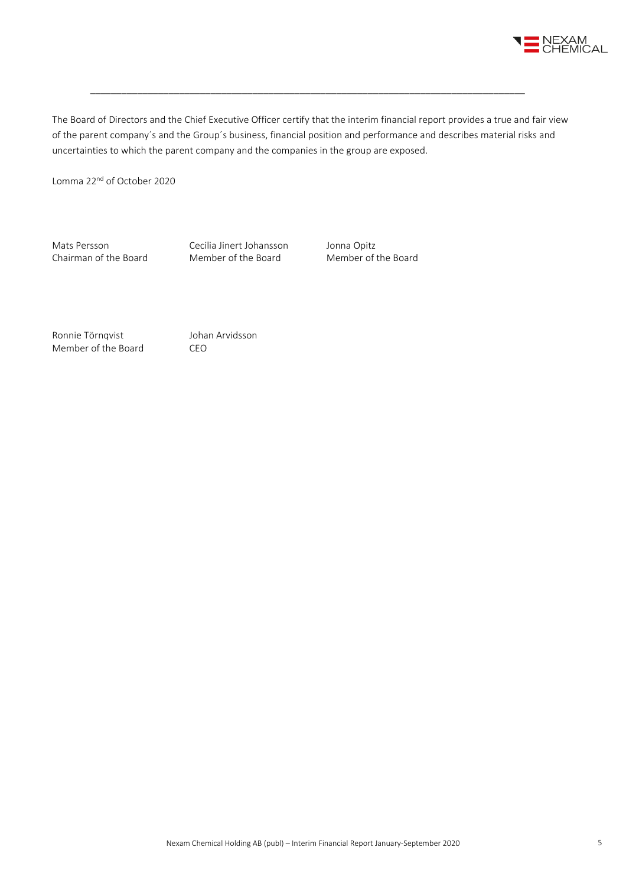

The Board of Directors and the Chief Executive Officer certify that the interim financial report provides a true and fair view of the parent company´s and the Group´s business, financial position and performance and describes material risks and uncertainties to which the parent company and the companies in the group are exposed.

\_\_\_\_\_\_\_\_\_\_\_\_\_\_\_\_\_\_\_\_\_\_\_\_\_\_\_\_\_\_\_\_\_\_\_\_\_\_\_\_\_\_\_\_\_\_\_\_\_\_\_\_\_\_\_\_\_\_\_\_\_\_\_\_\_\_\_\_\_\_\_\_\_\_\_\_\_\_\_\_\_\_\_

Lomma 22<sup>nd</sup> of October 2020

Mats Persson Cecilia Jinert Johansson Jonna Opitz<br>
Chairman of the Board Member of the Board Member of the Board Chairman of the Board

Ronnie Törnqvist Johan Arvidsson Member of the Board CEO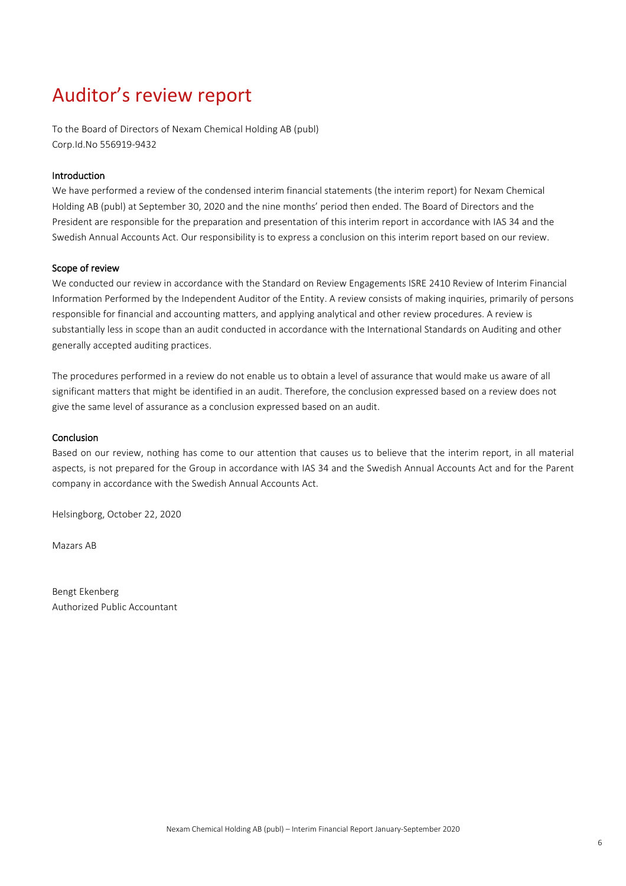## Auditor's review report

To the Board of Directors of Nexam Chemical Holding AB (publ) Corp.Id.No 556919-9432

#### Introduction

We have performed a review of the condensed interim financial statements (the interim report) for Nexam Chemical Holding AB (publ) at September 30, 2020 and the nine months' period then ended. The Board of Directors and the President are responsible for the preparation and presentation of this interim report in accordance with IAS 34 and the Swedish Annual Accounts Act. Our responsibility is to express a conclusion on this interim report based on our review.

#### Scope of review

We conducted our review in accordance with the Standard on Review Engagements ISRE 2410 Review of Interim Financial Information Performed by the Independent Auditor of the Entity. A review consists of making inquiries, primarily of persons responsible for financial and accounting matters, and applying analytical and other review procedures. A review is substantially less in scope than an audit conducted in accordance with the International Standards on Auditing and other generally accepted auditing practices.

The procedures performed in a review do not enable us to obtain a level of assurance that would make us aware of all significant matters that might be identified in an audit. Therefore, the conclusion expressed based on a review does not give the same level of assurance as a conclusion expressed based on an audit.

#### **Conclusion**

Based on our review, nothing has come to our attention that causes us to believe that the interim report, in all material aspects, is not prepared for the Group in accordance with IAS 34 and the Swedish Annual Accounts Act and for the Parent company in accordance with the Swedish Annual Accounts Act.

Helsingborg, October 22, 2020

Mazars AB

Bengt Ekenberg Authorized Public Accountant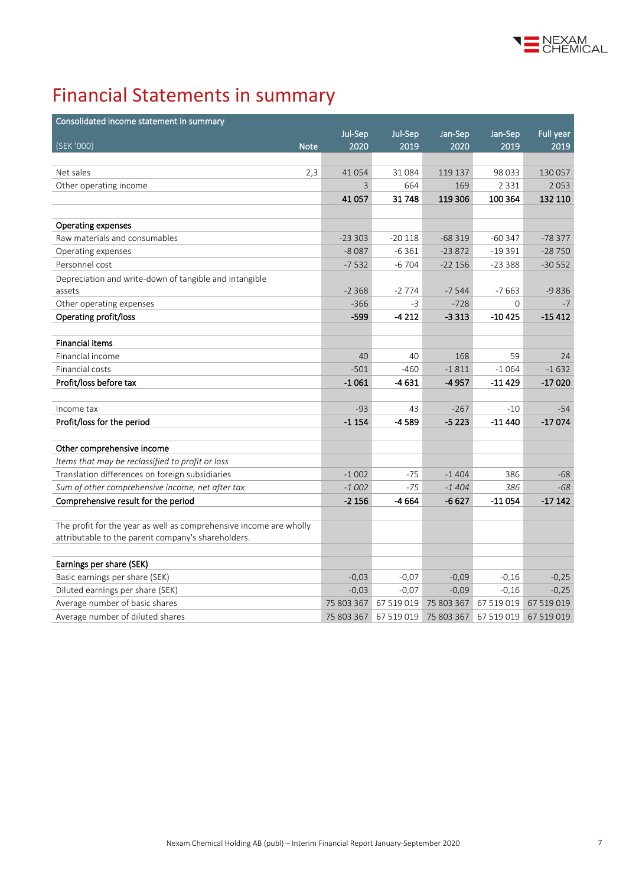

## Financial Statements in summary

| Consolidated income statement in summary                           |                |            |                       |            |            |
|--------------------------------------------------------------------|----------------|------------|-----------------------|------------|------------|
|                                                                    | Jul-Sep        | Jul-Sep    | Jan-Sep               | Jan-Sep    | Full year  |
| (SEK '000)<br><b>Note</b>                                          | 2020           | 2019       | 2020                  | 2019       | 2019       |
|                                                                    |                |            |                       |            |            |
| Net sales<br>2,3                                                   | 41 0 54        | 31084      | 119 137               | 98 0 33    | 130 057    |
| Other operating income                                             | $\overline{3}$ | 664        | 169                   | 2 3 3 1    | 2053       |
|                                                                    | 41 0 57        | 31748      | 119 306               | 100 364    | 132 110    |
|                                                                    |                |            |                       |            |            |
| <b>Operating expenses</b>                                          |                |            |                       |            |            |
| Raw materials and consumables                                      | $-233303$      | $-20118$   | $-68319$              | $-60347$   | $-78377$   |
| Operating expenses                                                 | $-8087$        | $-6361$    | $-23872$              | $-19391$   | $-28750$   |
| Personnel cost                                                     | $-7532$        | $-6704$    | $-22156$              | $-23388$   | $-30552$   |
| Depreciation and write-down of tangible and intangible             |                |            |                       |            |            |
| assets                                                             | $-2368$        | $-2774$    | $-7544$               | $-7663$    | $-9836$    |
| Other operating expenses                                           | $-366$         | $-3$       | $-728$                | 0          | $-7$       |
| Operating profit/loss                                              | $-599$         | $-4212$    | $-3313$               | $-10425$   | $-15412$   |
|                                                                    |                |            |                       |            |            |
| <b>Financial items</b>                                             |                |            |                       |            |            |
| Financial income                                                   | 40             | 40         | 168                   | 59         | 24         |
| Financial costs                                                    | $-501$         | $-460$     | $-1811$               | $-1064$    | $-1632$    |
| Profit/loss before tax                                             | $-1061$        | -4 631     | -4957                 | $-11429$   | $-17020$   |
|                                                                    |                |            |                       |            |            |
| Income tax                                                         | $-93$          | 43         | $-267$                | $-10$      | $-54$      |
| Profit/loss for the period                                         | $-1154$        | -4589      | $-5223$               | -11 440    | $-17074$   |
|                                                                    |                |            |                       |            |            |
| Other comprehensive income                                         |                |            |                       |            |            |
| Items that may be reclassified to profit or loss                   |                |            |                       |            |            |
| Translation differences on foreign subsidiaries                    | $-1002$        | $-75$      | $-1404$               | 386        | $-68$      |
| Sum of other comprehensive income, net after tax                   | $-1002$        | $-75$      | $-1404$               | 386        | $-68$      |
| Comprehensive result for the period                                | $-2156$        | -4 664     | $-6627$               | $-11054$   | $-17142$   |
| The profit for the year as well as comprehensive income are wholly |                |            |                       |            |            |
| attributable to the parent company's shareholders.                 |                |            |                       |            |            |
|                                                                    |                |            |                       |            |            |
| Earnings per share (SEK)                                           |                |            |                       |            |            |
| Basic earnings per share (SEK)                                     | $-0,03$        | $-0.07$    | $-0,09$               | $-0,16$    | $-0,25$    |
| Diluted earnings per share (SEK)                                   | $-0,03$        | $-0.07$    | $-0,09$               | $-0,16$    | $-0,25$    |
| Average number of basic shares                                     | 75 803 367     | 67 519 019 | 75 803 367            | 67 519 019 | 67 519 019 |
| Average number of diluted shares                                   | 75 803 367     |            | 67 519 019 75 803 367 | 67 519 019 | 67 519 019 |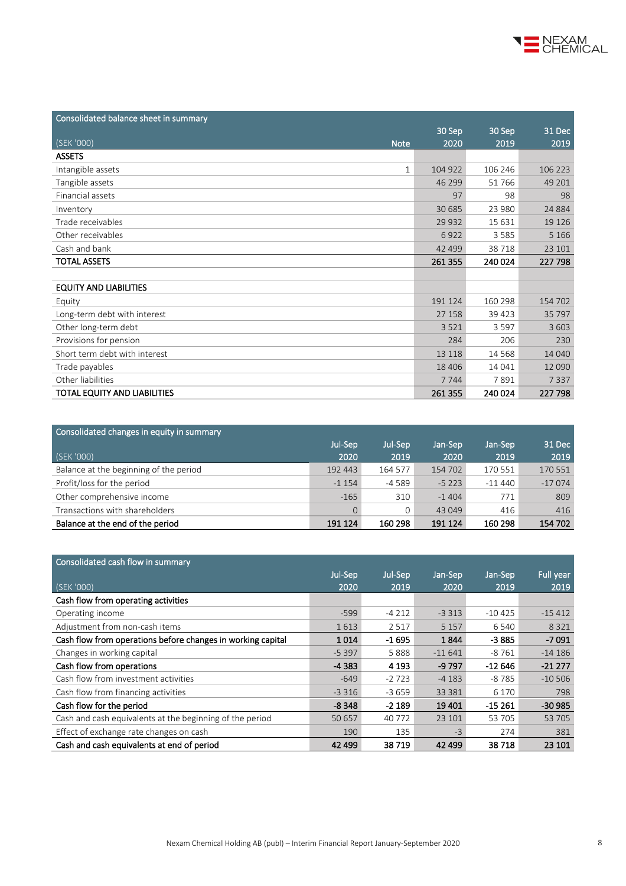

| Consolidated balance sheet in summary |         |         |         |
|---------------------------------------|---------|---------|---------|
|                                       | 30 Sep  | 30 Sep  | 31 Dec  |
| (SEK '000)<br><b>Note</b>             | 2020    | 2019    | 2019    |
| <b>ASSETS</b>                         |         |         |         |
| Intangible assets<br>$\mathbf{1}$     | 104 922 | 106 246 | 106 223 |
| Tangible assets                       | 46 299  | 51 766  | 49 201  |
| Financial assets                      | 97      | 98      | 98      |
| Inventory                             | 30 685  | 23 980  | 24 8 84 |
| Trade receivables                     | 29 9 32 | 15 631  | 19 1 26 |
| Other receivables                     | 6922    | 3585    | 5 1 6 6 |
| Cash and bank                         | 42 499  | 38718   | 23 101  |
| <b>TOTAL ASSETS</b>                   | 261 355 | 240 024 | 227 798 |
|                                       |         |         |         |
| <b>EQUITY AND LIABILITIES</b>         |         |         |         |
| Equity                                | 191 124 | 160 298 | 154 702 |
| Long-term debt with interest          | 27 158  | 39 4 23 | 35 797  |
| Other long-term debt                  | 3521    | 3597    | 3 6 0 3 |
| Provisions for pension                | 284     | 206     | 230     |
| Short term debt with interest         | 13 118  | 14 5 68 | 14 040  |
| Trade payables                        | 18 4 06 | 14 041  | 12 090  |
| Other liabilities                     | 7744    | 7891    | 7337    |
| TOTAL EQUITY AND LIABILITIES          | 261 355 | 240 024 | 227 798 |

| Jan-Sep  | 31 Dec   |
|----------|----------|
| 2019     | 2019     |
| 170 551  | 170 551  |
| $-11440$ | $-17074$ |
| 771      | 809      |
| 416      | 416      |
| 160 298  | 154 702  |
|          |          |

| Consolidated cash flow in summary                           |         |         |          |          |           |
|-------------------------------------------------------------|---------|---------|----------|----------|-----------|
|                                                             | Jul-Sep | Jul-Sep | Jan-Sep  | Jan-Sep  | Full year |
| (SEK '000)                                                  | 2020    | 2019    | 2020     | 2019     | 2019      |
| Cash flow from operating activities                         |         |         |          |          |           |
| Operating income                                            | $-599$  | $-4212$ | $-3313$  | $-10425$ | $-15412$  |
| Adjustment from non-cash items                              | 1613    | 2517    | 5 1 5 7  | 6 5 4 0  | 8 3 2 1   |
| Cash flow from operations before changes in working capital | 1014    | $-1695$ | 1844     | $-3885$  | $-7091$   |
| Changes in working capital                                  | $-5397$ | 5888    | $-11641$ | $-8761$  | $-14186$  |
| Cash flow from operations                                   | $-4383$ | 4 1 9 3 | $-9797$  | $-12646$ | $-21277$  |
| Cash flow from investment activities                        | $-649$  | $-2723$ | $-4183$  | $-8785$  | $-10506$  |
| Cash flow from financing activities                         | $-3316$ | $-3659$ | 33 381   | 6 1 7 0  | 798       |
| Cash flow for the period                                    | $-8348$ | $-2189$ | 19 401   | $-15261$ | $-30985$  |
| Cash and cash equivalents at the beginning of the period    | 50 657  | 40 772  | 23 101   | 53 705   | 53 705    |
| Effect of exchange rate changes on cash                     | 190     | 135     | $-3$     | 274      | 381       |
| Cash and cash equivalents at end of period                  | 42 499  | 38719   | 42 499   | 38718    | 23 101    |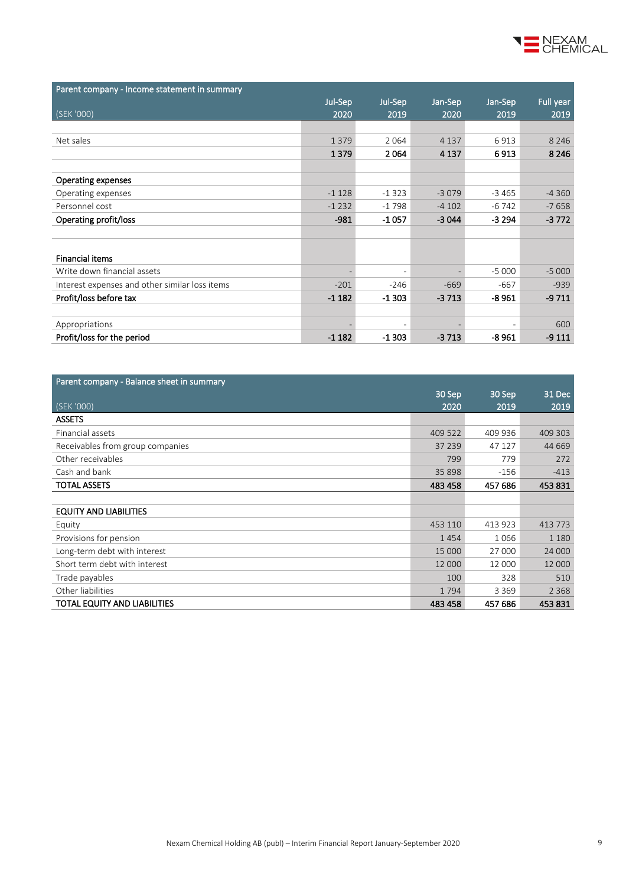

| Parent company - Income statement in summary   |         |                          |         |         |           |
|------------------------------------------------|---------|--------------------------|---------|---------|-----------|
|                                                | Jul-Sep | Jul-Sep                  | Jan-Sep | Jan-Sep | Full year |
| (SEK '000)                                     | 2020    | 2019                     | 2020    | 2019    | 2019      |
|                                                |         |                          |         |         |           |
| Net sales                                      | 1379    | 2064                     | 4 1 3 7 | 6913    | 8 2 4 6   |
|                                                | 1379    | 2064                     | 4 1 3 7 | 6913    | 8 2 4 6   |
|                                                |         |                          |         |         |           |
| <b>Operating expenses</b>                      |         |                          |         |         |           |
| Operating expenses                             | $-1128$ | $-1323$                  | $-3079$ | $-3465$ | $-4360$   |
| Personnel cost                                 | $-1232$ | $-1798$                  | $-4102$ | $-6742$ | $-7658$   |
| Operating profit/loss                          | $-981$  | $-1057$                  | $-3044$ | $-3294$ | $-3772$   |
|                                                |         |                          |         |         |           |
|                                                |         |                          |         |         |           |
| <b>Financial items</b>                         |         |                          |         |         |           |
| Write down financial assets                    |         | $\overline{a}$           |         | $-5000$ | $-5000$   |
| Interest expenses and other similar loss items | $-201$  | $-246$                   | $-669$  | $-667$  | $-939$    |
| Profit/loss before tax                         | $-1182$ | $-1303$                  | $-3713$ | $-8961$ | $-9711$   |
|                                                |         |                          |         |         |           |
| Appropriations                                 |         | $\overline{\phantom{a}}$ |         |         | 600       |
| Profit/loss for the period                     | $-1182$ | $-1303$                  | $-3713$ | $-8961$ | $-9111$   |

| Parent company - Balance sheet in summary |         |         |         |
|-------------------------------------------|---------|---------|---------|
|                                           | 30 Sep  | 30 Sep  | 31 Dec  |
| (SEK '000)                                | 2020    | 2019    | 2019    |
| <b>ASSETS</b>                             |         |         |         |
| Financial assets                          | 409 522 | 409 936 | 409 303 |
| Receivables from group companies          | 37 239  | 47 127  | 44 669  |
| Other receivables                         | 799     | 779     | 272     |
| Cash and bank                             | 35 898  | $-156$  | $-413$  |
| <b>TOTAL ASSETS</b>                       | 483 458 | 457 686 | 453831  |
|                                           |         |         |         |
| <b>EQUITY AND LIABILITIES</b>             |         |         |         |
| Equity                                    | 453 110 | 413 923 | 413 773 |
| Provisions for pension                    | 1454    | 1066    | 1 1 8 0 |
| Long-term debt with interest              | 15 000  | 27 000  | 24 000  |
| Short term debt with interest             | 12 000  | 12 000  | 12 000  |
| Trade payables                            | 100     | 328     | 510     |
| Other liabilities                         | 1794    | 3 3 6 9 | 2 3 6 8 |
| TOTAL EQUITY AND LIABILITIES              | 483 458 | 457 686 | 453831  |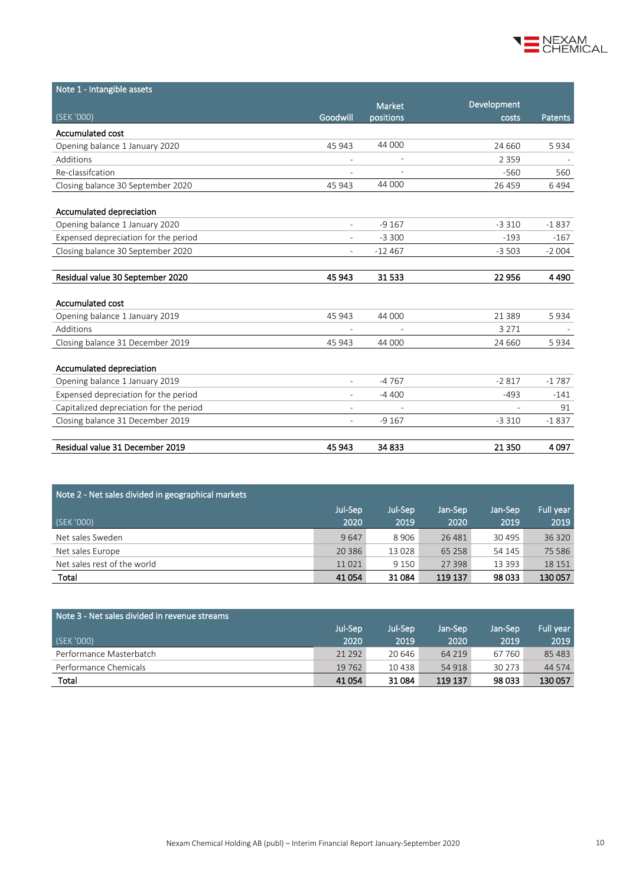

| Note 1 - Intangible assets              |                          |                          |             |                |
|-----------------------------------------|--------------------------|--------------------------|-------------|----------------|
|                                         |                          | <b>Market</b>            | Development |                |
| (SEK '000)                              | Goodwill                 | positions                | costs       | <b>Patents</b> |
| Accumulated cost                        |                          |                          |             |                |
| Opening balance 1 January 2020          | 45 943                   | 44 000                   | 24 660      | 5934           |
| Additions                               |                          | $\overline{\phantom{a}}$ | 2 3 5 9     |                |
| Re-classifcation                        |                          |                          | $-560$      | 560            |
| Closing balance 30 September 2020       | 45 943                   | 44 000                   | 26 459      | 6494           |
|                                         |                          |                          |             |                |
| Accumulated depreciation                |                          |                          |             |                |
| Opening balance 1 January 2020          | $\overline{a}$           | $-9167$                  | $-3310$     | $-1837$        |
| Expensed depreciation for the period    |                          | $-3300$                  | $-193$      | $-167$         |
| Closing balance 30 September 2020       |                          | $-12467$                 | $-3503$     | $-2004$        |
|                                         |                          |                          |             |                |
| Residual value 30 September 2020        | 45 943                   | 31533                    | 22 956      | 4490           |
|                                         |                          |                          |             |                |
| <b>Accumulated cost</b>                 |                          |                          |             |                |
| Opening balance 1 January 2019          | 45 943                   | 44 000                   | 21 3 8 9    | 5934           |
| Additions                               |                          |                          | 3 2 7 1     |                |
| Closing balance 31 December 2019        | 45 943                   | 44 000                   | 24 660      | 5934           |
|                                         |                          |                          |             |                |
| Accumulated depreciation                |                          |                          |             |                |
| Opening balance 1 January 2019          | ٠                        | $-4767$                  | $-2817$     | $-1787$        |
| Expensed depreciation for the period    |                          | $-4400$                  | $-493$      | $-141$         |
| Capitalized depreciation for the period |                          |                          |             | 91             |
| Closing balance 31 December 2019        | $\overline{\phantom{0}}$ | $-9167$                  | $-3310$     | $-1837$        |
|                                         |                          |                          |             |                |
| Residual value 31 December 2019         | 45 943                   | 34 833                   | 21 3 50     | 4097           |

| Note 2 - Net sales divided in geographical markets |         |         |          |          |           |  |  |
|----------------------------------------------------|---------|---------|----------|----------|-----------|--|--|
|                                                    | Jul-Sep | Jul-Sep | Jan-Sep  | Jan-Sep  | Full year |  |  |
| (SEK '000)                                         | 2020    | 2019    | 2020     | 2019     | 2019      |  |  |
| Net sales Sweden                                   | 9647    | 8 9 0 6 | 26 4 8 1 | 30 4 95  | 36 320    |  |  |
| Net sales Europe                                   | 20 3 86 | 13 0 28 | 65 258   | 54 145   | 75 5 86   |  |  |
| Net sales rest of the world                        | 11021   | 9 1 5 0 | 27 3 98  | 13 3 9 3 | 18 15 1   |  |  |
| Total                                              | 41 0 54 | 31084   | 119 137  | 98 033   | 130 057   |  |  |

| Note 3 - Net sales divided in revenue streams |          |         |         |          |           |  |  |
|-----------------------------------------------|----------|---------|---------|----------|-----------|--|--|
|                                               | Jul-Sep  | Jul-Sep | Jan-Sep | Jan-Sep  | Full year |  |  |
| (SEK '000)                                    | 2020     | 2019    | 2020    | 2019     | 2019      |  |  |
| Performance Masterbatch                       | 21 2 9 2 | 20 646  | 64 2 19 | 67 760   | 85 4 83   |  |  |
| Performance Chemicals                         | 19 7 62  | 10438   | 54 918  | 30 2 7 3 | 44 5 74   |  |  |
| Total                                         | 41 0 54  | 31 0 84 | 119 137 | 98 033   | 130 057   |  |  |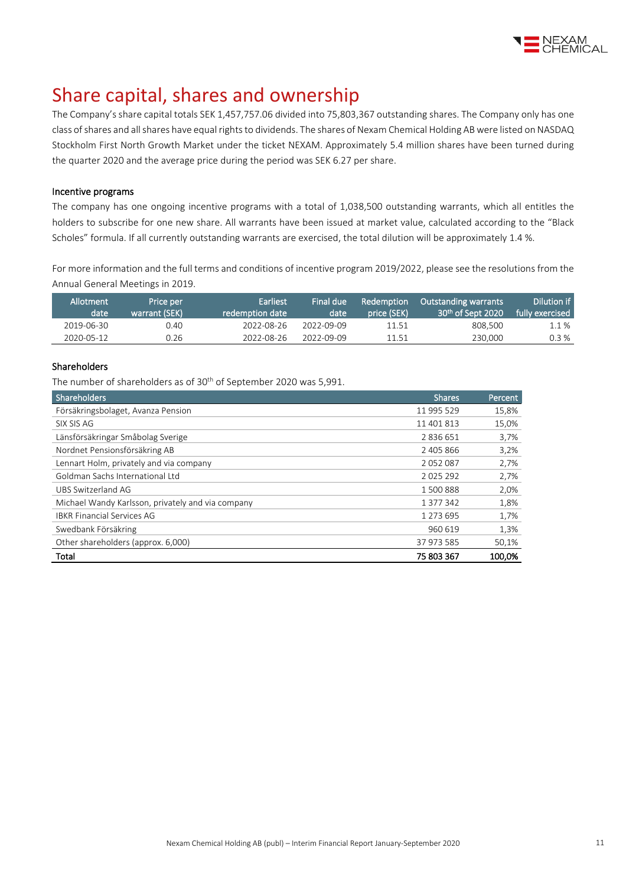

## Share capital, shares and ownership

The Company's share capital totals SEK 1,457,757.06 divided into 75,803,367 outstanding shares. The Company only has one class of shares and all shares have equal rights to dividends. The shares of Nexam Chemical Holding AB were listed on NASDAQ Stockholm First North Growth Market under the ticket NEXAM. Approximately 5.4 million shares have been turned during the quarter 2020 and the average price during the period was SEK 6.27 per share.

#### Incentive programs

The company has one ongoing incentive programs with a total of 1,038,500 outstanding warrants, which all entitles the holders to subscribe for one new share. All warrants have been issued at market value, calculated according to the "Black Scholes" formula. If all currently outstanding warrants are exercised, the total dilution will be approximately 1.4 %.

For more information and the full terms and conditions of incentive program 2019/2022, please see the resolutions from the Annual General Meetings i[n 2019.](http://www.nexamchemical.com/secure/CMS/?language=en#context=epi.cms.contentdata:///245&viewsetting=active:///true)

| Allotment<br>date | Price per<br>warrant (SEK) | Earliest<br>redemption date | Final due<br>date | Redemption<br>price (SEK) | <b>Outstanding warrants</b><br>$30th$ of Sept 2020 | Dilution if<br>fully exercised |
|-------------------|----------------------------|-----------------------------|-------------------|---------------------------|----------------------------------------------------|--------------------------------|
| 2019-06-30        | 0.40                       | 2022-08-26                  | 2022-09-09        | 11.51                     | 808,500                                            | 1.1 %                          |
| 2020-05-12        | 0.26                       | 2022-08-26                  | 2022-09-09        | 11.51                     | 230,000                                            | 0.3%                           |

#### Shareholders

The number of shareholders as of 30<sup>th</sup> of September 2020 was 5,991.

| <b>Shareholders</b>                               | <b>Shares</b> | Percent |
|---------------------------------------------------|---------------|---------|
| Försäkringsbolaget, Avanza Pension                | 11 995 529    | 15,8%   |
| SIX SIS AG                                        | 11 401 813    | 15,0%   |
| Länsförsäkringar Småbolag Sverige                 | 2836651       | 3,7%    |
| Nordnet Pensionsförsäkring AB                     | 2 405 866     | 3,2%    |
| Lennart Holm, privately and via company           | 2052087       | 2,7%    |
| Goldman Sachs International Ltd                   | 2025292       | 2,7%    |
| UBS Switzerland AG                                | 1500888       | 2,0%    |
| Michael Wandy Karlsson, privately and via company | 1 377 342     | 1,8%    |
| <b>IBKR Financial Services AG</b>                 | 1 273 695     | 1,7%    |
| Swedbank Försäkring                               | 960 619       | 1,3%    |
| Other shareholders (approx. 6,000)                | 37 973 585    | 50,1%   |
| Total                                             | 75 803 367    | 100,0%  |